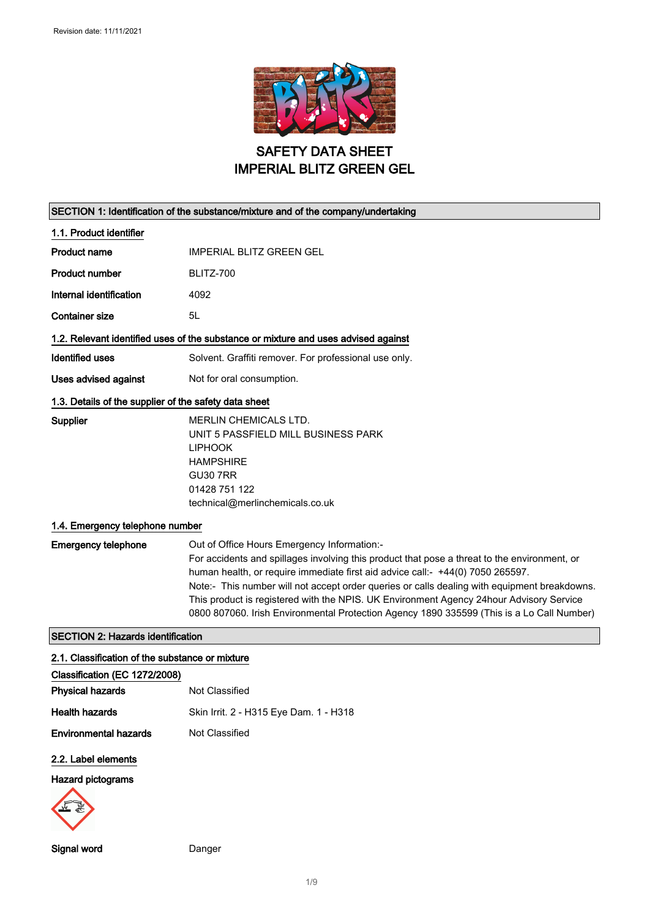

SAFETY DATA SHEET IMPERIAL BLITZ GREEN GEL

| SECTION 1: Identification of the substance/mixture and of the company/undertaking |                                                                                                                                                                                |  |
|-----------------------------------------------------------------------------------|--------------------------------------------------------------------------------------------------------------------------------------------------------------------------------|--|
| 1.1. Product identifier                                                           |                                                                                                                                                                                |  |
| <b>Product name</b>                                                               | IMPERIAL BLITZ GREEN GEL                                                                                                                                                       |  |
| <b>Product number</b>                                                             | BLITZ-700                                                                                                                                                                      |  |
| Internal identification                                                           | 4092                                                                                                                                                                           |  |
| <b>Container size</b>                                                             | 5L                                                                                                                                                                             |  |
|                                                                                   | 1.2. Relevant identified uses of the substance or mixture and uses advised against                                                                                             |  |
| <b>Identified uses</b>                                                            | Solvent. Graffiti remover. For professional use only.                                                                                                                          |  |
| Uses advised against                                                              | Not for oral consumption.                                                                                                                                                      |  |
| 1.3. Details of the supplier of the safety data sheet                             |                                                                                                                                                                                |  |
| Supplier                                                                          | <b>MERLIN CHEMICALS LTD.</b><br>UNIT 5 PASSFIELD MILL BUSINESS PARK                                                                                                            |  |
|                                                                                   | <b>LIPHOOK</b>                                                                                                                                                                 |  |
|                                                                                   | <b>HAMPSHIRE</b><br><b>GU30 7RR</b>                                                                                                                                            |  |
|                                                                                   | 01428 751 122                                                                                                                                                                  |  |
|                                                                                   | technical@merlinchemicals.co.uk                                                                                                                                                |  |
| 1.4. Emergency telephone number                                                   |                                                                                                                                                                                |  |
| <b>Emergency telephone</b>                                                        | Out of Office Hours Emergency Information:-                                                                                                                                    |  |
|                                                                                   | For accidents and spillages involving this product that pose a threat to the environment, or<br>human health, or require immediate first aid advice call:- +44(0) 7050 265597. |  |
|                                                                                   | Note:- This number will not accept order queries or calls dealing with equipment breakdowns.                                                                                   |  |
|                                                                                   | This product is registered with the NPIS. UK Environment Agency 24hour Advisory Service                                                                                        |  |
|                                                                                   | 0800 807060. Irish Environmental Protection Agency 1890 335599 (This is a Lo Call Number)                                                                                      |  |
| <b>SECTION 2: Hazards identification</b>                                          |                                                                                                                                                                                |  |
| 2.1. Classification of the substance or mixture                                   |                                                                                                                                                                                |  |
| Classification (EC 1272/2008)<br><b>Physical hazards</b>                          | Not Classified                                                                                                                                                                 |  |
| <b>Health hazards</b>                                                             | Skin Irrit. 2 - H315 Eye Dam. 1 - H318                                                                                                                                         |  |
| <b>Environmental hazards</b>                                                      | Not Classified                                                                                                                                                                 |  |
|                                                                                   |                                                                                                                                                                                |  |
| 2.2. Label elements                                                               |                                                                                                                                                                                |  |
| <b>Hazard pictograms</b>                                                          |                                                                                                                                                                                |  |
|                                                                                   |                                                                                                                                                                                |  |
| Signal word                                                                       | Danger                                                                                                                                                                         |  |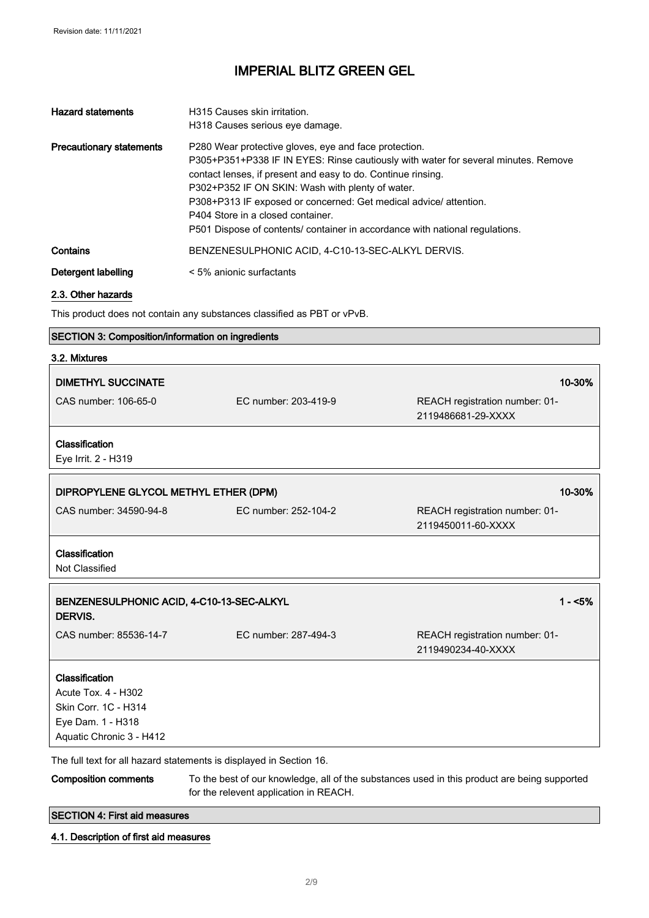| <b>Hazard statements</b>        | H315 Causes skin irritation.<br>H318 Causes serious eye damage.                                                                                                                                                                                                                                                                                                                                                                                          |
|---------------------------------|----------------------------------------------------------------------------------------------------------------------------------------------------------------------------------------------------------------------------------------------------------------------------------------------------------------------------------------------------------------------------------------------------------------------------------------------------------|
| <b>Precautionary statements</b> | P280 Wear protective gloves, eye and face protection.<br>P305+P351+P338 IF IN EYES: Rinse cautiously with water for several minutes. Remove<br>contact lenses, if present and easy to do. Continue rinsing.<br>P302+P352 IF ON SKIN: Wash with plenty of water.<br>P308+P313 IF exposed or concerned: Get medical advice/attention.<br>P404 Store in a closed container.<br>P501 Dispose of contents/ container in accordance with national regulations. |
| Contains                        | BENZENESULPHONIC ACID, 4-C10-13-SEC-ALKYL DERVIS.                                                                                                                                                                                                                                                                                                                                                                                                        |
| Detergent labelling             | < 5% anionic surfactants                                                                                                                                                                                                                                                                                                                                                                                                                                 |

#### 2.3. Other hazards

This product does not contain any substances classified as PBT or vPvB.

#### SECTION 3: Composition/information on ingredients

| 3.2. Mixtures                                        |                                                                     |                                                                                              |
|------------------------------------------------------|---------------------------------------------------------------------|----------------------------------------------------------------------------------------------|
| <b>DIMETHYL SUCCINATE</b>                            |                                                                     | 10-30%                                                                                       |
| CAS number: 106-65-0                                 | EC number: 203-419-9                                                | REACH registration number: 01-<br>2119486681-29-XXXX                                         |
| Classification<br>Eye Irrit. 2 - H319                |                                                                     |                                                                                              |
| DIPROPYLENE GLYCOL METHYL ETHER (DPM)                |                                                                     | 10-30%                                                                                       |
| CAS number: 34590-94-8                               | EC number: 252-104-2                                                | REACH registration number: 01-<br>2119450011-60-XXXX                                         |
| Classification<br>Not Classified                     |                                                                     |                                                                                              |
| BENZENESULPHONIC ACID, 4-C10-13-SEC-ALKYL<br>DERVIS. |                                                                     | $1 - 5%$                                                                                     |
| CAS number: 85536-14-7                               | EC number: 287-494-3                                                | REACH registration number: 01-<br>2119490234-40-XXXX                                         |
| Classification                                       |                                                                     |                                                                                              |
| Acute Tox. 4 - H302                                  |                                                                     |                                                                                              |
| Skin Corr. 1C - H314                                 |                                                                     |                                                                                              |
| Eye Dam. 1 - H318                                    |                                                                     |                                                                                              |
| Aquatic Chronic 3 - H412                             |                                                                     |                                                                                              |
|                                                      | The full text for all hazard statements is displayed in Section 16. |                                                                                              |
| <b>Composition comments</b>                          |                                                                     | To the best of our knowledge, all of the substances used in this product are being supported |

for the relevent application in REACH.

SECTION 4: First aid measures

#### 4.1. Description of first aid measures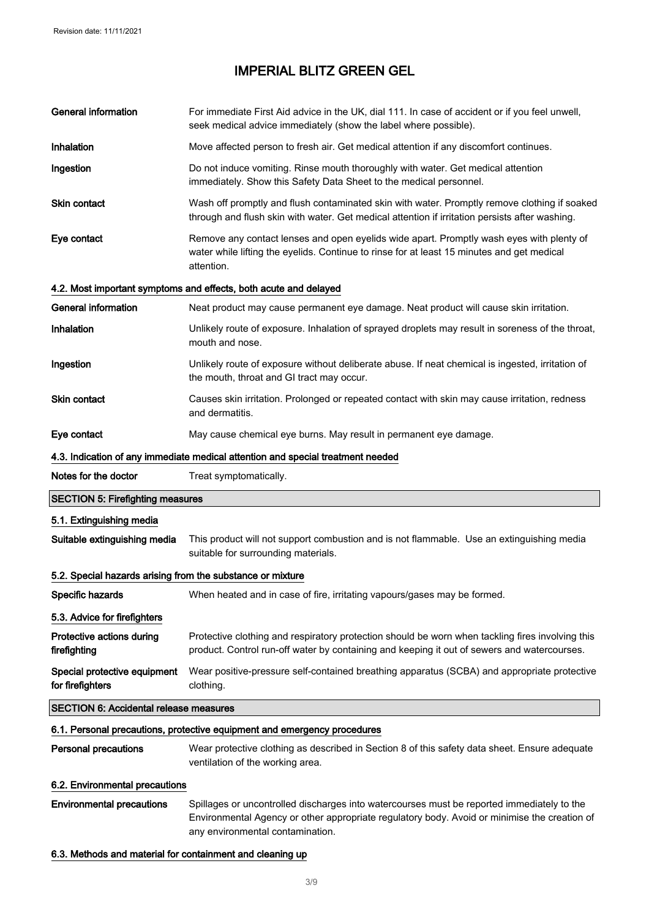| <b>General information</b>                                 | For immediate First Aid advice in the UK, dial 111. In case of accident or if you feel unwell,<br>seek medical advice immediately (show the label where possible).                                   |
|------------------------------------------------------------|------------------------------------------------------------------------------------------------------------------------------------------------------------------------------------------------------|
| Inhalation                                                 | Move affected person to fresh air. Get medical attention if any discomfort continues.                                                                                                                |
| Ingestion                                                  | Do not induce vomiting. Rinse mouth thoroughly with water. Get medical attention<br>immediately. Show this Safety Data Sheet to the medical personnel.                                               |
| Skin contact                                               | Wash off promptly and flush contaminated skin with water. Promptly remove clothing if soaked<br>through and flush skin with water. Get medical attention if irritation persists after washing.       |
| Eye contact                                                | Remove any contact lenses and open eyelids wide apart. Promptly wash eyes with plenty of<br>water while lifting the eyelids. Continue to rinse for at least 15 minutes and get medical<br>attention. |
|                                                            | 4.2. Most important symptoms and effects, both acute and delayed                                                                                                                                     |
| <b>General information</b>                                 | Neat product may cause permanent eye damage. Neat product will cause skin irritation.                                                                                                                |
| <b>Inhalation</b>                                          | Unlikely route of exposure. Inhalation of sprayed droplets may result in soreness of the throat,<br>mouth and nose.                                                                                  |
| Ingestion                                                  | Unlikely route of exposure without deliberate abuse. If neat chemical is ingested, irritation of<br>the mouth, throat and GI tract may occur.                                                        |
| Skin contact                                               | Causes skin irritation. Prolonged or repeated contact with skin may cause irritation, redness<br>and dermatitis.                                                                                     |
| Eye contact                                                | May cause chemical eye burns. May result in permanent eye damage.                                                                                                                                    |
|                                                            | 4.3. Indication of any immediate medical attention and special treatment needed                                                                                                                      |
| Notes for the doctor                                       | Treat symptomatically.                                                                                                                                                                               |
| <b>SECTION 5: Firefighting measures</b>                    |                                                                                                                                                                                                      |
| 5.1. Extinguishing media                                   |                                                                                                                                                                                                      |
| Suitable extinguishing media                               | This product will not support combustion and is not flammable. Use an extinguishing media<br>suitable for surrounding materials.                                                                     |
| 5.2. Special hazards arising from the substance or mixture |                                                                                                                                                                                                      |
| Specific hazards                                           | When heated and in case of fire, irritating vapours/gases may be formed.                                                                                                                             |
| 5.3. Advice for firefighters                               |                                                                                                                                                                                                      |
| Protective actions during<br>firefighting                  | Protective clothing and respiratory protection should be worn when tackling fires involving this<br>product. Control run-off water by containing and keeping it out of sewers and watercourses.      |
| Special protective equipment<br>for firefighters           | Wear positive-pressure self-contained breathing apparatus (SCBA) and appropriate protective<br>clothing.                                                                                             |
| <b>SECTION 6: Accidental release measures</b>              |                                                                                                                                                                                                      |
|                                                            | 6.1. Personal precautions, protective equipment and emergency procedures                                                                                                                             |
| Personal precautions                                       | Wear protective clothing as described in Section 8 of this safety data sheet. Ensure adequate<br>ventilation of the working area.                                                                    |
| 6.2. Environmental precautions                             |                                                                                                                                                                                                      |
| <b>Environmental precautions</b>                           | Spillages or uncontrolled discharges into watercourses must be reported immediately to the                                                                                                           |
|                                                            | Environmental Agency or other appropriate regulatory body. Avoid or minimise the creation of<br>any environmental contamination.                                                                     |

#### 6.3. Methods and material for containment and cleaning up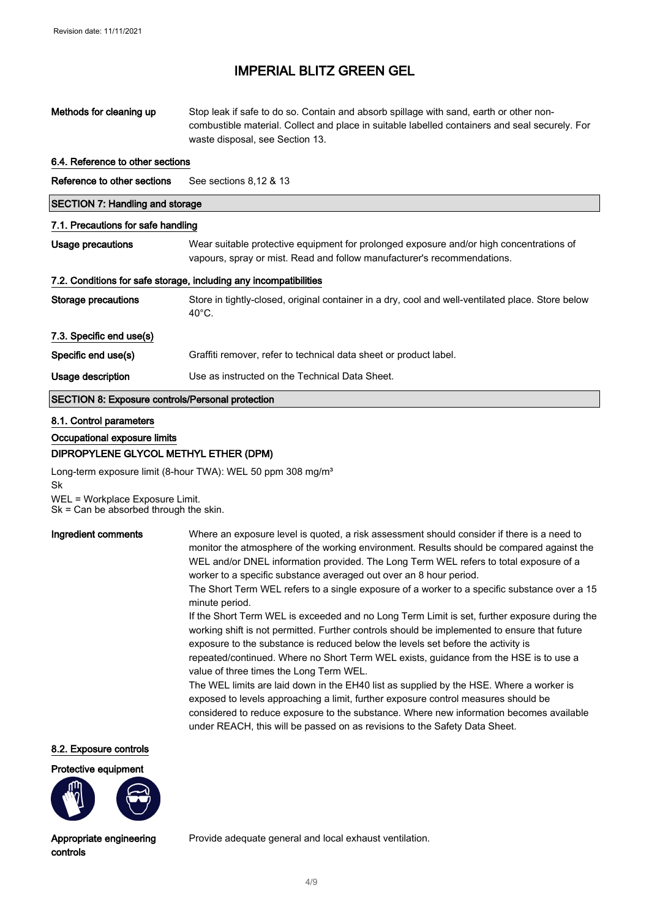| Methods for cleaning up                                           | Stop leak if safe to do so. Contain and absorb spillage with sand, earth or other non-<br>combustible material. Collect and place in suitable labelled containers and seal securely. For<br>waste disposal, see Section 13. |  |
|-------------------------------------------------------------------|-----------------------------------------------------------------------------------------------------------------------------------------------------------------------------------------------------------------------------|--|
| 6.4. Reference to other sections                                  |                                                                                                                                                                                                                             |  |
| Reference to other sections                                       | See sections 8,12 & 13                                                                                                                                                                                                      |  |
| <b>SECTION 7: Handling and storage</b>                            |                                                                                                                                                                                                                             |  |
| 7.1. Precautions for safe handling                                |                                                                                                                                                                                                                             |  |
| Usage precautions                                                 | Wear suitable protective equipment for prolonged exposure and/or high concentrations of<br>vapours, spray or mist. Read and follow manufacturer's recommendations.                                                          |  |
| 7.2. Conditions for safe storage, including any incompatibilities |                                                                                                                                                                                                                             |  |
| Storage precautions                                               | Store in tightly-closed, original container in a dry, cool and well-ventilated place. Store below<br>$40^{\circ}$ C.                                                                                                        |  |
| 7.3. Specific end use(s)                                          |                                                                                                                                                                                                                             |  |
| Specific end use(s)                                               | Graffiti remover, refer to technical data sheet or product label.                                                                                                                                                           |  |
| Usage description                                                 | Use as instructed on the Technical Data Sheet.                                                                                                                                                                              |  |
| <b>SECTION 8: Exposure controls/Personal protection</b>           |                                                                                                                                                                                                                             |  |

#### 8.1. Control parameters

Occupational exposure limits

#### DIPROPYLENE GLYCOL METHYL ETHER (DPM)

Long-term exposure limit (8-hour TWA): WEL 50 ppm 308 mg/m<sup>3</sup> Sk WEL = Workplace Exposure Limit. Sk = Can be absorbed through the skin.

Ingredient comments Where an exposure level is quoted, a risk assessment should consider if there is a need to monitor the atmosphere of the working environment. Results should be compared against the WEL and/or DNEL information provided. The Long Term WEL refers to total exposure of a worker to a specific substance averaged out over an 8 hour period.

> The Short Term WEL refers to a single exposure of a worker to a specific substance over a 15 minute period.

> If the Short Term WEL is exceeded and no Long Term Limit is set, further exposure during the working shift is not permitted. Further controls should be implemented to ensure that future exposure to the substance is reduced below the levels set before the activity is repeated/continued. Where no Short Term WEL exists, guidance from the HSE is to use a value of three times the Long Term WEL.

The WEL limits are laid down in the EH40 list as supplied by the HSE. Where a worker is exposed to levels approaching a limit, further exposure control measures should be considered to reduce exposure to the substance. Where new information becomes available under REACH, this will be passed on as revisions to the Safety Data Sheet.

#### 8.2. Exposure controls





Appropriate engineering controls

Provide adequate general and local exhaust ventilation.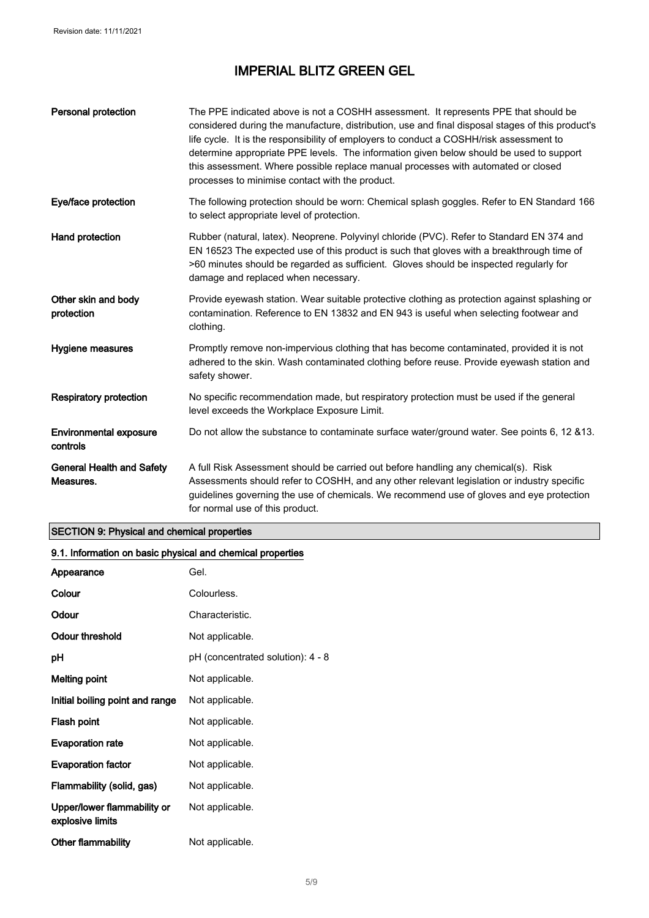| Personal protection                           | The PPE indicated above is not a COSHH assessment. It represents PPE that should be<br>considered during the manufacture, distribution, use and final disposal stages of this product's<br>life cycle. It is the responsibility of employers to conduct a COSHH/risk assessment to<br>determine appropriate PPE levels. The information given below should be used to support<br>this assessment. Where possible replace manual processes with automated or closed<br>processes to minimise contact with the product. |
|-----------------------------------------------|-----------------------------------------------------------------------------------------------------------------------------------------------------------------------------------------------------------------------------------------------------------------------------------------------------------------------------------------------------------------------------------------------------------------------------------------------------------------------------------------------------------------------|
| Eye/face protection                           | The following protection should be worn: Chemical splash goggles. Refer to EN Standard 166<br>to select appropriate level of protection.                                                                                                                                                                                                                                                                                                                                                                              |
| Hand protection                               | Rubber (natural, latex). Neoprene. Polyvinyl chloride (PVC). Refer to Standard EN 374 and<br>EN 16523 The expected use of this product is such that gloves with a breakthrough time of<br>>60 minutes should be regarded as sufficient. Gloves should be inspected regularly for<br>damage and replaced when necessary.                                                                                                                                                                                               |
| Other skin and body<br>protection             | Provide eyewash station. Wear suitable protective clothing as protection against splashing or<br>contamination. Reference to EN 13832 and EN 943 is useful when selecting footwear and<br>clothing.                                                                                                                                                                                                                                                                                                                   |
| Hygiene measures                              | Promptly remove non-impervious clothing that has become contaminated, provided it is not<br>adhered to the skin. Wash contaminated clothing before reuse. Provide eyewash station and<br>safety shower.                                                                                                                                                                                                                                                                                                               |
| <b>Respiratory protection</b>                 | No specific recommendation made, but respiratory protection must be used if the general<br>level exceeds the Workplace Exposure Limit.                                                                                                                                                                                                                                                                                                                                                                                |
| <b>Environmental exposure</b><br>controls     | Do not allow the substance to contaminate surface water/ground water. See points 6, 12 & 13.                                                                                                                                                                                                                                                                                                                                                                                                                          |
| <b>General Health and Safety</b><br>Measures. | A full Risk Assessment should be carried out before handling any chemical(s). Risk<br>Assessments should refer to COSHH, and any other relevant legislation or industry specific<br>guidelines governing the use of chemicals. We recommend use of gloves and eye protection<br>for normal use of this product.                                                                                                                                                                                                       |

### SECTION 9: Physical and chemical properties

| 9.1. Information on basic physical and chemical properties |                                   |
|------------------------------------------------------------|-----------------------------------|
| Appearance                                                 | Gel.                              |
| Colour                                                     | Colourless.                       |
| Odour                                                      | Characteristic.                   |
| <b>Odour threshold</b>                                     | Not applicable.                   |
| рH                                                         | pH (concentrated solution): 4 - 8 |
| <b>Melting point</b>                                       | Not applicable.                   |
| Initial boiling point and range                            | Not applicable.                   |
| Flash point                                                | Not applicable.                   |
| <b>Evaporation rate</b>                                    | Not applicable.                   |
| <b>Evaporation factor</b>                                  | Not applicable.                   |
| Flammability (solid, gas)                                  | Not applicable.                   |
| Upper/lower flammability or<br>explosive limits            | Not applicable.                   |
| <b>Other flammability</b>                                  | Not applicable.                   |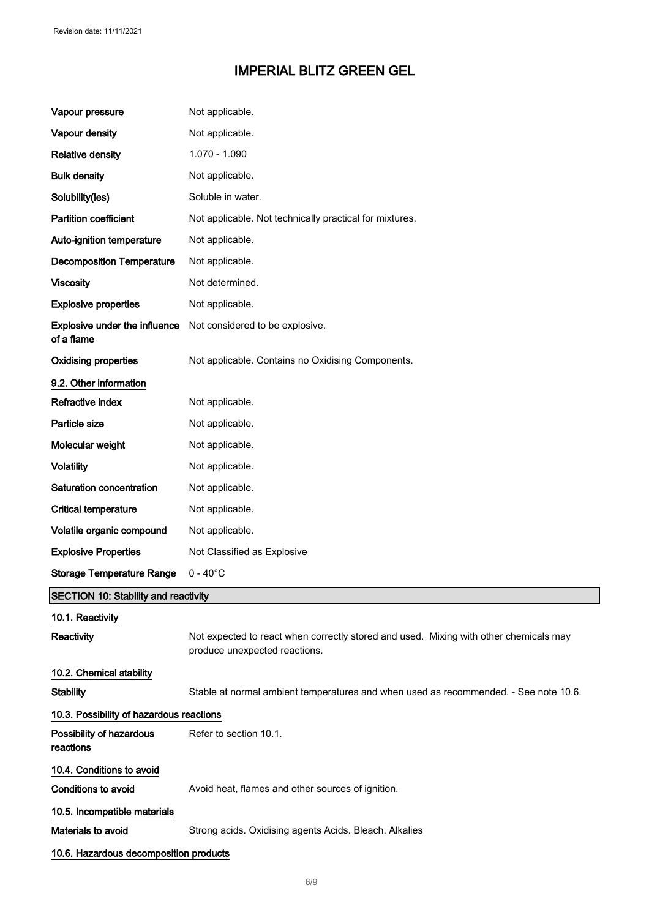| Vapour pressure                                    | Not applicable.                                                                                                        |
|----------------------------------------------------|------------------------------------------------------------------------------------------------------------------------|
| Vapour density                                     | Not applicable.                                                                                                        |
| <b>Relative density</b>                            | 1.070 - 1.090                                                                                                          |
| <b>Bulk density</b>                                | Not applicable.                                                                                                        |
| Solubility(ies)                                    | Soluble in water.                                                                                                      |
| <b>Partition coefficient</b>                       | Not applicable. Not technically practical for mixtures.                                                                |
| Auto-ignition temperature                          | Not applicable.                                                                                                        |
| <b>Decomposition Temperature</b>                   | Not applicable.                                                                                                        |
| <b>Viscosity</b>                                   | Not determined.                                                                                                        |
| <b>Explosive properties</b>                        | Not applicable.                                                                                                        |
| <b>Explosive under the influence</b><br>of a flame | Not considered to be explosive.                                                                                        |
| <b>Oxidising properties</b>                        | Not applicable. Contains no Oxidising Components.                                                                      |
| 9.2. Other information                             |                                                                                                                        |
| Refractive index                                   | Not applicable.                                                                                                        |
| Particle size                                      | Not applicable.                                                                                                        |
| Molecular weight                                   | Not applicable.                                                                                                        |
| <b>Volatility</b>                                  | Not applicable.                                                                                                        |
| Saturation concentration                           | Not applicable.                                                                                                        |
| <b>Critical temperature</b>                        | Not applicable.                                                                                                        |
| Volatile organic compound                          | Not applicable.                                                                                                        |
| <b>Explosive Properties</b>                        | Not Classified as Explosive                                                                                            |
| <b>Storage Temperature Range</b>                   | $0 - 40^{\circ}$ C                                                                                                     |
| <b>SECTION 10: Stability and reactivity</b>        |                                                                                                                        |
| 10.1. Reactivity                                   |                                                                                                                        |
| Reactivity                                         | Not expected to react when correctly stored and used. Mixing with other chemicals may<br>produce unexpected reactions. |
| 10.2. Chemical stability                           |                                                                                                                        |
| <b>Stability</b>                                   | Stable at normal ambient temperatures and when used as recommended. - See note 10.6.                                   |
| 10.3. Possibility of hazardous reactions           |                                                                                                                        |
| Possibility of hazardous<br>reactions              | Refer to section 10.1.                                                                                                 |
| 10.4. Conditions to avoid                          |                                                                                                                        |
| <b>Conditions to avoid</b>                         | Avoid heat, flames and other sources of ignition.                                                                      |
| 10.5. Incompatible materials                       |                                                                                                                        |
| Materials to avoid                                 | Strong acids. Oxidising agents Acids. Bleach. Alkalies                                                                 |
| 10.6. Hazardous decomposition products             |                                                                                                                        |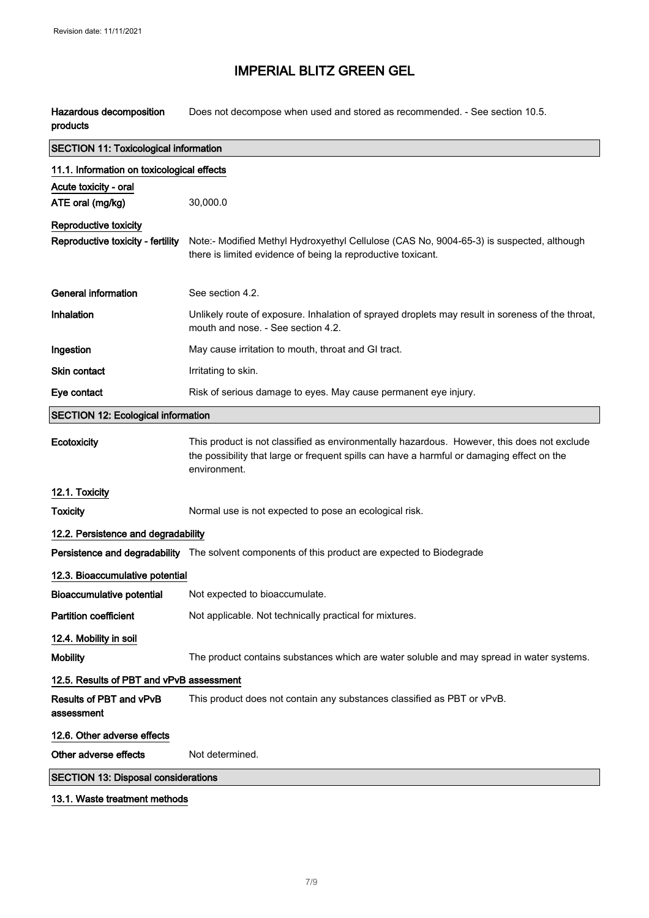Hazardous decomposition products Does not decompose when used and stored as recommended. - See section 10.5.

| <b>SECTION 11: Toxicological information</b> |                                                                                                                                                                                                           |
|----------------------------------------------|-----------------------------------------------------------------------------------------------------------------------------------------------------------------------------------------------------------|
| 11.1. Information on toxicological effects   |                                                                                                                                                                                                           |
| Acute toxicity - oral                        |                                                                                                                                                                                                           |
| ATE oral (mg/kg)                             | 30,000.0                                                                                                                                                                                                  |
| <b>Reproductive toxicity</b>                 |                                                                                                                                                                                                           |
| Reproductive toxicity - fertility            | Note:- Modified Methyl Hydroxyethyl Cellulose (CAS No, 9004-65-3) is suspected, although<br>there is limited evidence of being la reproductive toxicant.                                                  |
| <b>General information</b>                   | See section 4.2.                                                                                                                                                                                          |
| Inhalation                                   | Unlikely route of exposure. Inhalation of sprayed droplets may result in soreness of the throat,<br>mouth and nose. - See section 4.2.                                                                    |
| Ingestion                                    | May cause irritation to mouth, throat and GI tract.                                                                                                                                                       |
| <b>Skin contact</b>                          | Irritating to skin.                                                                                                                                                                                       |
| Eye contact                                  | Risk of serious damage to eyes. May cause permanent eye injury.                                                                                                                                           |
| <b>SECTION 12: Ecological information</b>    |                                                                                                                                                                                                           |
| Ecotoxicity                                  | This product is not classified as environmentally hazardous. However, this does not exclude<br>the possibility that large or frequent spills can have a harmful or damaging effect on the<br>environment. |
| 12.1. Toxicity                               |                                                                                                                                                                                                           |
| <b>Toxicity</b>                              | Normal use is not expected to pose an ecological risk.                                                                                                                                                    |
| 12.2. Persistence and degradability          |                                                                                                                                                                                                           |
|                                              | Persistence and degradability The solvent components of this product are expected to Biodegrade                                                                                                           |
| 12.3. Bioaccumulative potential              |                                                                                                                                                                                                           |
| <b>Bioaccumulative potential</b>             | Not expected to bioaccumulate.                                                                                                                                                                            |
| <b>Partition coefficient</b>                 | Not applicable. Not technically practical for mixtures.                                                                                                                                                   |
| 12.4. Mobility in soil                       |                                                                                                                                                                                                           |
| <b>Mobility</b>                              | The product contains substances which are water soluble and may spread in water systems.                                                                                                                  |
| 12.5. Results of PBT and vPvB assessment     |                                                                                                                                                                                                           |
| Results of PBT and vPvB<br>assessment        | This product does not contain any substances classified as PBT or vPvB.                                                                                                                                   |
| 12.6. Other adverse effects                  |                                                                                                                                                                                                           |
| Other adverse effects                        | Not determined.                                                                                                                                                                                           |
| <b>SECTION 13: Disposal considerations</b>   |                                                                                                                                                                                                           |
|                                              |                                                                                                                                                                                                           |

13.1. Waste treatment methods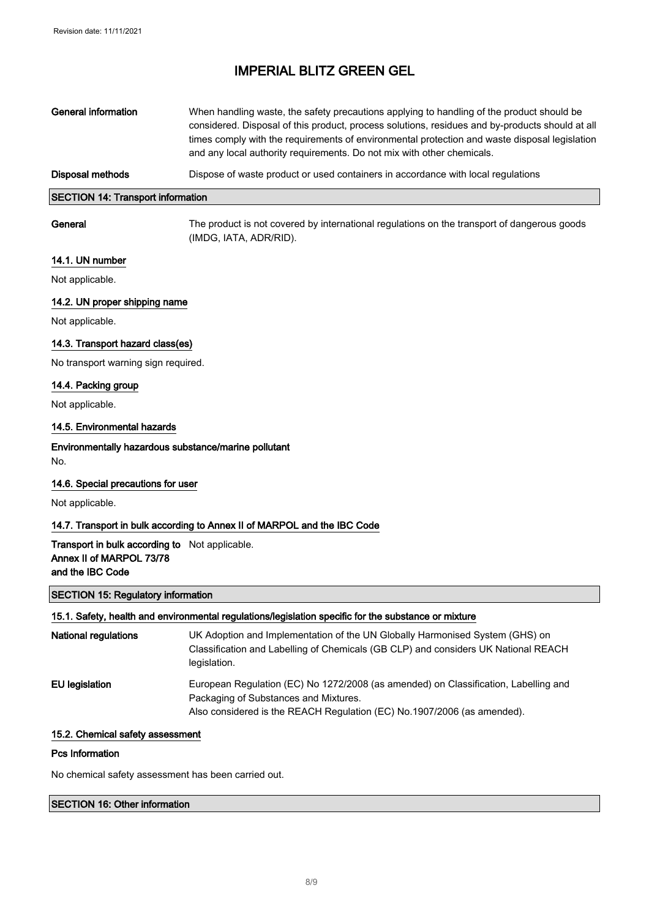| General information                      | When handling waste, the safety precautions applying to handling of the product should be<br>considered. Disposal of this product, process solutions, residues and by-products should at all<br>times comply with the requirements of environmental protection and waste disposal legislation<br>and any local authority requirements. Do not mix with other chemicals. |  |
|------------------------------------------|-------------------------------------------------------------------------------------------------------------------------------------------------------------------------------------------------------------------------------------------------------------------------------------------------------------------------------------------------------------------------|--|
| Disposal methods                         | Dispose of waste product or used containers in accordance with local regulations                                                                                                                                                                                                                                                                                        |  |
| <b>SECTION 14: Transport information</b> |                                                                                                                                                                                                                                                                                                                                                                         |  |
| General                                  | The product is not covered by international regulations on the transport of dangerous goods<br>(IMDG, IATA, ADR/RID).                                                                                                                                                                                                                                                   |  |

#### 14.1. UN number

Not applicable.

 $\sqrt{2}$ 

#### 14.2. UN proper shipping name

Not applicable.

#### 14.3. Transport hazard class(es)

No transport warning sign required.

#### 14.4. Packing group

Not applicable.

#### 14.5. Environmental hazards

Environmentally hazardous substance/marine pollutant No.

#### 14.6. Special precautions for user

Not applicable.

#### 14.7. Transport in bulk according to Annex II of MARPOL and the IBC Code

#### Transport in bulk according to Not applicable. Annex II of MARPOL 73/78 and the IBC Code

#### SECTION 15: Regulatory information

### 15.1. Safety, health and environmental regulations/legislation specific for the substance or mixture

| <b>National regulations</b> | UK Adoption and Implementation of the UN Globally Harmonised System (GHS) on<br>Classification and Labelling of Chemicals (GB CLP) and considers UK National REACH<br>legislation.                      |
|-----------------------------|---------------------------------------------------------------------------------------------------------------------------------------------------------------------------------------------------------|
| EU legislation              | European Regulation (EC) No 1272/2008 (as amended) on Classification, Labelling and<br>Packaging of Substances and Mixtures.<br>Also considered is the REACH Regulation (EC) No.1907/2006 (as amended). |

#### 15.2. Chemical safety assessment

#### Pcs Information

No chemical safety assessment has been carried out.

#### SECTION 16: Other information